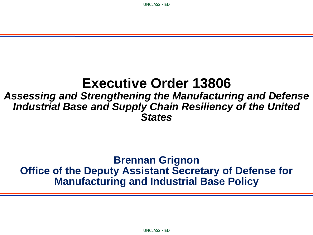## **Executive Order 13806**

### *Assessing and Strengthening the Manufacturing and Defense Industrial Base and Supply Chain Resiliency of the United States*

### **Brennan Grignon Office of the Deputy Assistant Secretary of Defense for Manufacturing and Industrial Base Policy**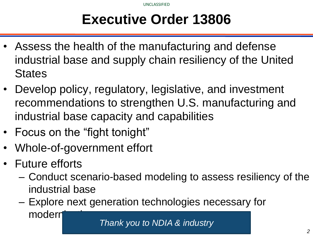# **Executive Order 13806**

- Assess the health of the manufacturing and defense industrial base and supply chain resiliency of the United **States**
- Develop policy, regulatory, legislative, and investment recommendations to strengthen U.S. manufacturing and industrial base capacity and capabilities
- Focus on the "fight tonight"
- Whole-of-government effort
- Future efforts
	- Conduct scenario-based modeling to assess resiliency of the industrial base
	- Explore next generation technologies necessary for modern

*Thank you to NDIA & industry*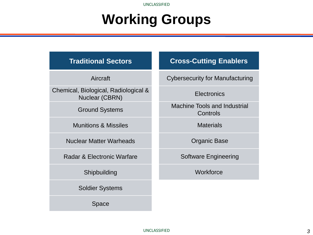UNCLASSIFIED

# **Working Groups**

Aircraft

Chemical, Biological, Radiological & Nuclear (CBRN)

Ground Systems

Munitions & Missiles

Nuclear Matter Warheads

Radar & Electronic Warfare

Shipbuilding

Soldier Systems

Space

#### **Cross-Cutting Enablers**

Cybersecurity for Manufacturing

#### **Electronics**

Machine Tools and Industrial **Controls** 

**Materials** 

Organic Base

Software Engineering

**Workforce**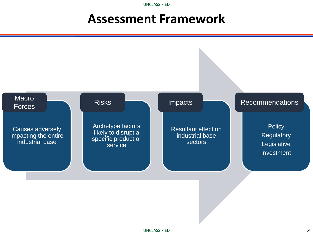UNCLASSIFIED

## **Assessment Framework**